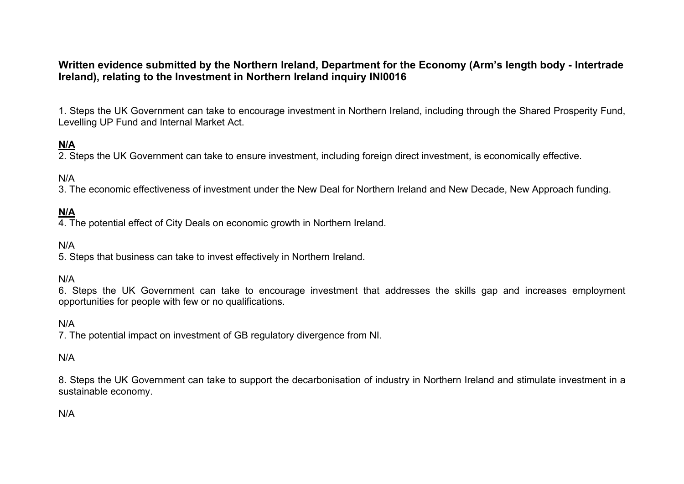# **Written evidence submitted by the Northern Ireland, Department for the Economy (Arm's length body - Intertrade Ireland), relating to the Investment in Northern Ireland inquiry INI0016**

1. Steps the UK Government can take to encourage investment in Northern Ireland, including through the Shared Prosperity Fund, Levelling UP Fund and Internal Market Act.

# **N/A**

2. Steps the UK Government can take to ensure investment, including foreign direct investment, is economically effective.

# N/A

3. The economic effectiveness of investment under the New Deal for Northern Ireland and New Decade, New Approach funding.

## **N/A**

4. The potential effect of City Deals on economic growth in Northern Ireland.

N/A

5. Steps that business can take to invest effectively in Northern Ireland.

N/A

6. Steps the UK Government can take to encourage investment that addresses the skills gap and increases employment opportunities for people with few or no qualifications.

#### N/A

7. The potential impact on investment of GB regulatory divergence from NI.

#### N/A

8. Steps the UK Government can take to support the decarbonisation of industry in Northern Ireland and stimulate investment in a sustainable economy.

N/A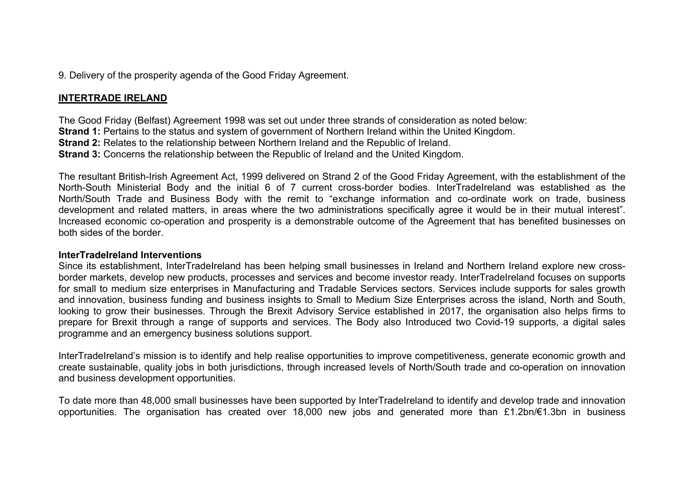9. Delivery of the prosperity agenda of the Good Friday Agreement.

## **INTERTRADE IRELAND**

The Good Friday (Belfast) Agreement 1998 was set out under three strands of consideration as noted below: **Strand 1:** Pertains to the status and system of government of Northern Ireland within the United Kingdom. **Strand 2:** Relates to the relationship between Northern Ireland and the Republic of Ireland. **Strand 3:** Concerns the relationship between the Republic of Ireland and the United Kingdom.

The resultant British-Irish Agreement Act, 1999 delivered on Strand 2 of the Good Friday Agreement, with the establishment of the North-South Ministerial Body and the initial 6 of 7 current cross-border bodies. InterTradeIreland was established as the North/South Trade and Business Body with the remit to "exchange information and co-ordinate work on trade, business development and related matters, in areas where the two administrations specifically agree it would be in their mutual interest". Increased economic co-operation and prosperity is a demonstrable outcome of the Agreement that has benefited businesses on both sides of the border.

### **InterTradeIreland Interventions**

Since its establishment, InterTradeIreland has been helping small businesses in Ireland and Northern Ireland explore new crossborder markets, develop new products, processes and services and become investor ready. InterTradeIreland focuses on supports for small to medium size enterprises in Manufacturing and Tradable Services sectors. Services include supports for sales growth and innovation, business funding and business insights to Small to Medium Size Enterprises across the island, North and South, looking to grow their businesses. Through the Brexit Advisory Service established in 2017, the organisation also helps firms to prepare for Brexit through a range of supports and services. The Body also Introduced two Covid-19 supports, a digital sales programme and an emergency business solutions support.

InterTradeIreland's mission is to identify and help realise opportunities to improve competitiveness, generate economic growth and create sustainable, quality jobs in both jurisdictions, through increased levels of North/South trade and co-operation on innovation and business development opportunities.

To date more than 48,000 small businesses have been supported by InterTradeIreland to identify and develop trade and innovation opportunities. The organisation has created over 18,000 new jobs and generated more than £1.2bn/€1.3bn in business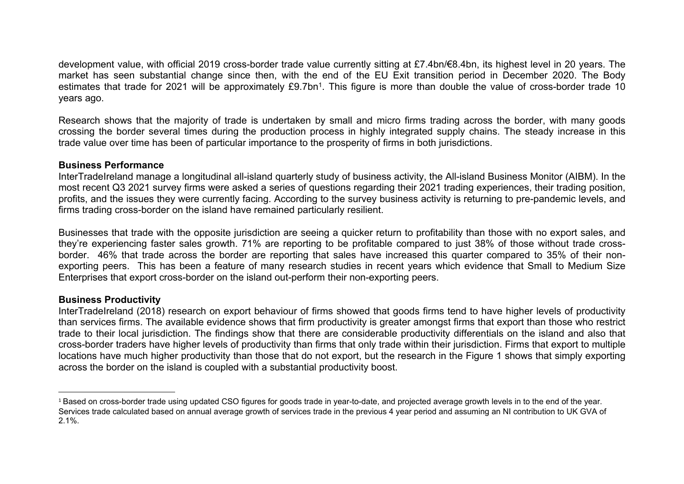development value, with official 2019 cross-border trade value currently sitting at £7.4bn/€8.4bn, its highest level in 20 years. The market has seen substantial change since then, with the end of the EU Exit transition period in December 2020. The Body estimates that trade for 2021 will be approximately £9.7bn<sup>1</sup>. This figure is more than double the value of cross-border trade 10 years ago.

Research shows that the majority of trade is undertaken by small and micro firms trading across the border, with many goods crossing the border several times during the production process in highly integrated supply chains. The steady increase in this trade value over time has been of particular importance to the prosperity of firms in both jurisdictions.

### **Business Performance**

InterTradeIreland manage a longitudinal all-island quarterly study of business activity, the All-island Business Monitor (AIBM). In the most recent Q3 2021 survey firms were asked a series of questions regarding their 2021 trading experiences, their trading position, profits, and the issues they were currently facing. According to the survey business activity is returning to pre-pandemic levels, and firms trading cross-border on the island have remained particularly resilient.

Businesses that trade with the opposite jurisdiction are seeing a quicker return to profitability than those with no export sales, and they're experiencing faster sales growth. 71% are reporting to be profitable compared to just 38% of those without trade crossborder. 46% that trade across the border are reporting that sales have increased this quarter compared to 35% of their nonexporting peers. This has been a feature of many research studies in recent years which evidence that Small to Medium Size Enterprises that export cross-border on the island out-perform their non-exporting peers.

#### **Business Productivity**

InterTradeIreland (2018) research on export behaviour of firms showed that goods firms tend to have higher levels of productivity than services firms. The available evidence shows that firm productivity is greater amongst firms that export than those who restrict trade to their local jurisdiction. The findings show that there are considerable productivity differentials on the island and also that cross-border traders have higher levels of productivity than firms that only trade within their jurisdiction. Firms that export to multiple locations have much higher productivity than those that do not export, but the research in the Figure 1 shows that simply exporting across the border on the island is coupled with a substantial productivity boost.

<sup>&</sup>lt;sup>1</sup> Based on cross-border trade using updated CSO figures for goods trade in year-to-date, and projected average growth levels in to the end of the year. Services trade calculated based on annual average growth of services trade in the previous 4 year period and assuming an NI contribution to UK GVA of 2.1%.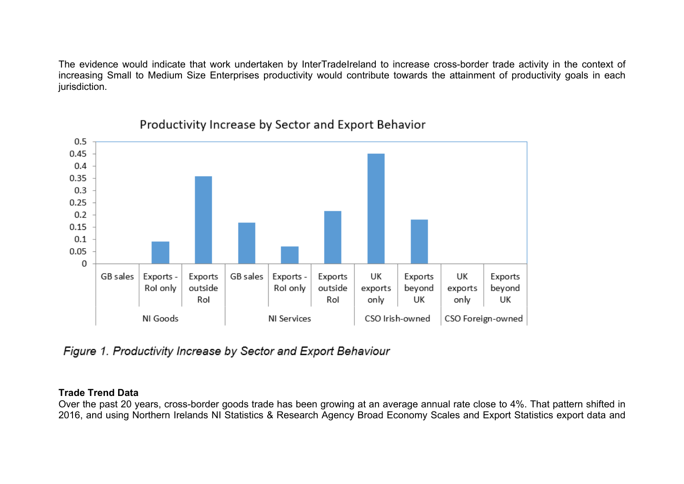The evidence would indicate that work undertaken by InterTradeIreland to increase cross-border trade activity in the context of increasing Small to Medium Size Enterprises productivity would contribute towards the attainment of productivity goals in each jurisdiction.



# Productivity Increase by Sector and Export Behavior

Figure 1. Productivity Increase by Sector and Export Behaviour

## **Trade Trend Data**

Over the past 20 years, cross-border goods trade has been growing at an average annual rate close to 4%. That pattern shifted in 2016, and using Northern Irelands NI Statistics & Research Agency Broad Economy Scales and Export Statistics export data and